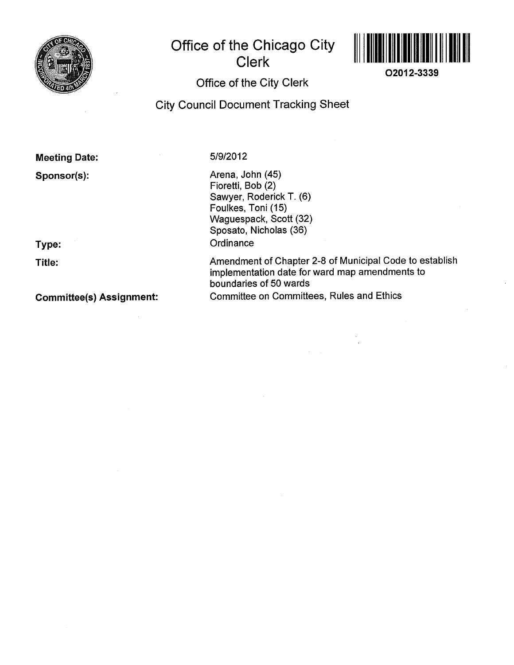

## Office of the Chicago City Clerk



02012-3339

## Office of the City Clerk

**City Council Document Tracking Sheet** 

Meeting Date: 5/9/2012

Sponsor(s): Arena, John (45) Fioretti, Bob (2) Sawyer, Roderick T. (6) Foulkes, Toni (15) Waguespack, Scott (32) Sposato, Nicholas (36) Type: Contact Contact Contact Contact Contact Contact Contact Contact Contact Contact Contact Contact Contact Contact Contact Contact Contact Contact Contact Contact Contact Contact Contact Contact Contact Contact Contact

Title: Title: Title: Amendment of Chapter 2-8 of Municipal Code to establish implementation date for ward map amendments to boundaries of 50 wards Gommittee(s) Assignment: Committee on Committees, Rules and Ethics